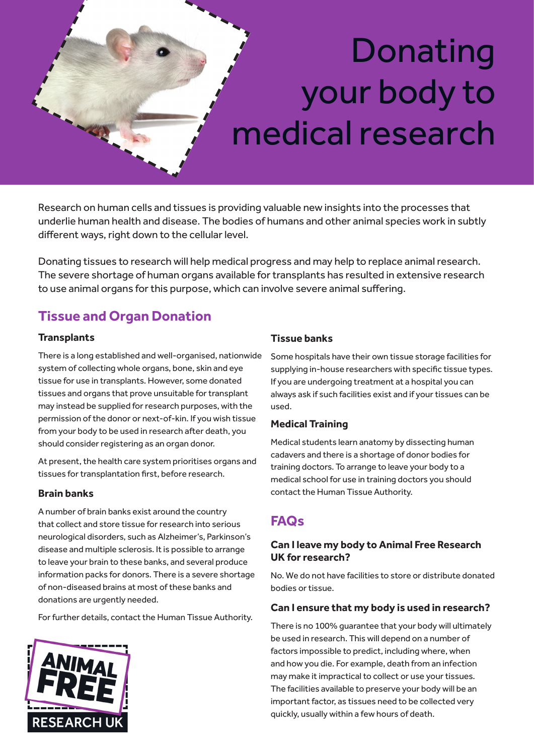# **Donating** your body to medical research

Research on human cells and tissues is providing valuable new insights into the processes that underlie human health and disease. The bodies of humans and other animal species work in subtly different ways, right down to the cellular level.

Donating tissues to research will help medical progress and may help to replace animal research. The severe shortage of human organs available for transplants has resulted in extensive research to use animal organs for this purpose, which can involve severe animal suffering.

# **Tissue and Organ Donation**

## **Transplants**

There is a long established and well-organised, nationwide system of collecting whole organs, bone, skin and eye tissue for use in transplants. However, some donated tissues and organs that prove unsuitable for transplant may instead be supplied for research purposes, with the permission of the donor or next-of-kin. If you wish tissue from your body to be used in research after death, you should consider registering as an organ donor.

At present, the health care system prioritises organs and tissues for transplantation first, before research.

## **Brain banks**

A number of brain banks exist around the country that collect and store tissue for research into serious neurological disorders, such as Alzheimer's, Parkinson's disease and multiple sclerosis. It is possible to arrange to leave your brain to these banks, and several produce information packs for donors. There is a severe shortage of non-diseased brains at most of these banks and donations are urgently needed.

For further details, contact the Human Tissue Authority.

# **RESEARCH U**

## **Tissue banks**

Some hospitals have their own tissue storage facilities for supplying in-house researchers with specific tissue types. If you are undergoing treatment at a hospital you can always ask if such facilities exist and if your tissues can be used.

## **Medical Training**

Medical students learn anatomy by dissecting human cadavers and there is a shortage of donor bodies for training doctors. To arrange to leave your body to a medical school for use in training doctors you should contact the Human Tissue Authority.

# **FAQs**

## **Can I leave my body to Animal Free Research UK for research?**

No. We do not have facilities to store or distribute donated bodies or tissue.

## **Can I ensure that my body is used in research?**

There is no 100% guarantee that your body will ultimately be used in research. This will depend on a number of factors impossible to predict, including where, when and how you die. For example, death from an infection may make it impractical to collect or use your tissues. The facilities available to preserve your body will be an important factor, as tissues need to be collected very quickly, usually within a few hours of death.